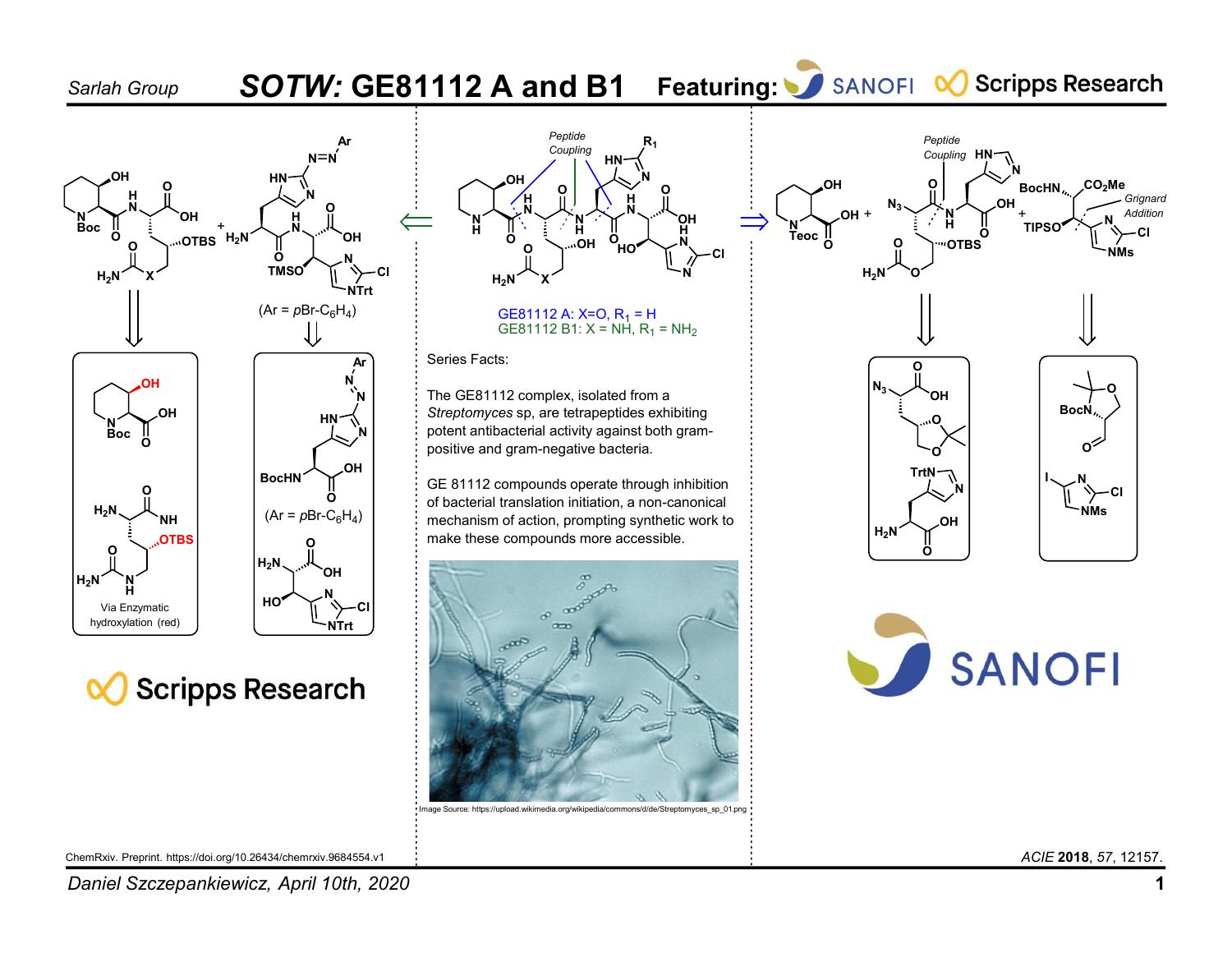## Sarlah Group **SOTW: GE81112 A and B1**









GE81112 A:  $X=O, R_1 = H$ GE81112 B1:  $X = NH$ ,  $R_1 = NH_2$ 

Series Facts:

The GE81112 complex, isolated from a Streptomyces sp, are tetrapeptides exhibiting potent antibacterial activity against both grampositive and gram-negative bacteria.

GE 81112 compounds operate through inhibition of bacterial translation initiation, a non-canonical mechanism of action, prompting synthetic work to make these compounds more accessible.







ChemRxiv. Preprint. https://doi.org/10.26434/chemrxiv.9684554.v1 : the content of the content of the content of the content of the content of the content of the content of the content of the content of the content of the c

Daniel Szczepankiewicz, April 10th, 2020 1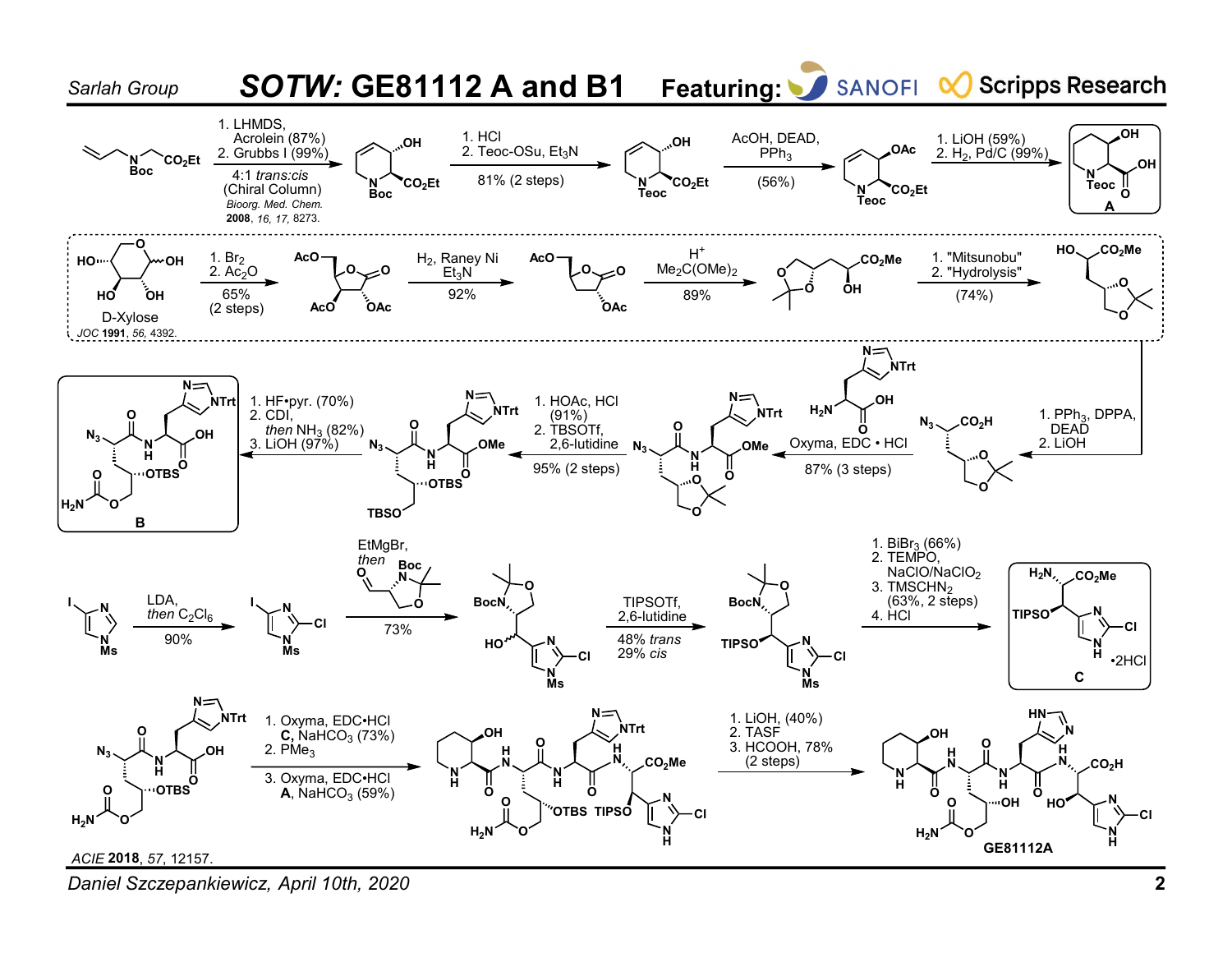

Daniel Szczepankiewicz, April 10th, 2020